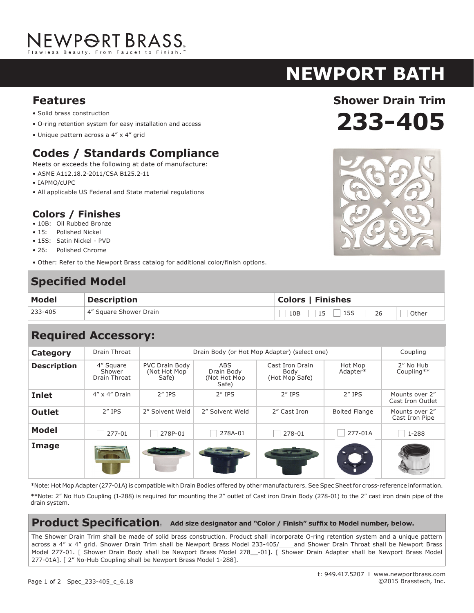# NEWP<del>O</del>RT BRASS.

## **newport bath**

**Features**

- Solid brass construction
- O-ring retention system for easy installation and access
- Unique pattern across a 4" x 4" grid

### **Codes / Standards Compliance**

Meets or exceeds the following at date of manufacture:

- ASME A112.18.2-2011/CSA B125.2-11
- IAPMO/cUPC
- All applicable US Federal and State material regulations

#### **Colors / Finishes**

- 10B: Oil Rubbed Bronze
- 15: Polished Nickel
- 15S: Satin Nickel PVD
- 26: Polished Chrome
- Other: Refer to the Newport Brass catalog for additional color/finish options.

### **Specified Model**

| <b>Model</b> | <b>Description</b>     | <b>Colors   Finishes</b> |  |  |
|--------------|------------------------|--------------------------|--|--|
| 233-405      | 4" Square Shower Drain | $10B$ 15 15S 26<br>Other |  |  |

## **Required Accessory:**

| <b>Category</b>    | Drain Throat                        | Drain Body (or Hot Mop Adapter) (select one)    |                                                   |                                           |                      | Coupling                           |
|--------------------|-------------------------------------|-------------------------------------------------|---------------------------------------------------|-------------------------------------------|----------------------|------------------------------------|
| <b>Description</b> | 4" Square<br>Shower<br>Drain Throat | <b>PVC Drain Body</b><br>(Not Hot Mop)<br>Safe) | <b>ABS</b><br>Drain Body<br>(Not Hot Mop<br>Safe) | Cast Iron Drain<br>Body<br>(Hot Mop Safe) | Hot Mop<br>Adapter*  | 2" No Hub<br>Coupling**            |
| <b>Inlet</b>       | $4'' \times 4''$ Drain              | $2''$ IPS                                       | $2''$ IPS                                         | $2''$ IPS                                 | $2''$ IPS            | Mounts over 2"<br>Cast Iron Outlet |
| <b>Outlet</b>      | $2''$ IPS                           | 2" Solvent Weld                                 | 2" Solvent Weld                                   | 2" Cast Iron                              | <b>Bolted Flange</b> | Mounts over 2"<br>Cast Iron Pipe   |
| <b>Model</b>       | 277-01                              | 278P-01                                         | 278A-01                                           | 278-01                                    | 277-01A              | 1-288                              |
| Image              |                                     |                                                 |                                                   |                                           |                      |                                    |

\*Note: Hot Mop Adapter (277-01A) is compatible with Drain Bodies offered by other manufacturers. See Spec Sheet for cross-reference information.

\*\*Note: 2" No Hub Coupling (1-288) is required for mounting the 2" outlet of Cast iron Drain Body (278-01) to the 2" cast iron drain pipe of the drain system.

#### **Product Specification: Add size designator and "Color / Finish" suffix to Model number, below.**

The Shower Drain Trim shall be made of solid brass construction. Product shall incorporate O-ring retention system and a unique pattern across a 4" x 4" grid. Shower Drain Trim shall be Newport Brass Model 233-405/\_\_\_and Shower Drain Throat shall be Newport Brass Model 277-01. [ Shower Drain Body shall be Newport Brass Model 278\_-01]. [ Shower Drain Adapter shall be Newport Brass Model 277-01A]. [ 2" No-Hub Coupling shall be Newport Brass Model 1-288].



**233-405**

**Shower Drain Trim**